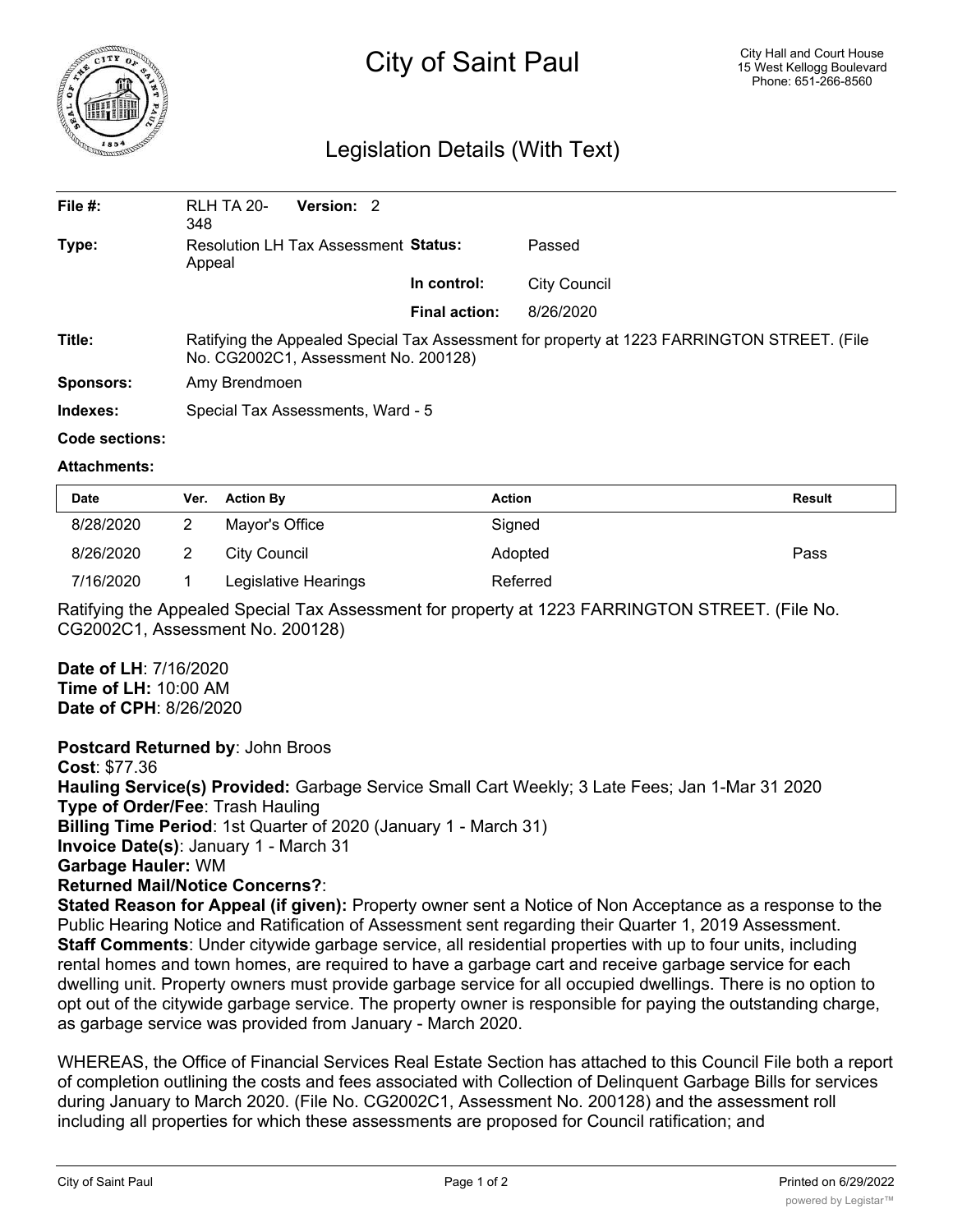

# City of Saint Paul

## Legislation Details (With Text)

| File $#$ : | RLH TA 20-<br>348                                                                                                                   | Version: 2 |                      |              |  |  |
|------------|-------------------------------------------------------------------------------------------------------------------------------------|------------|----------------------|--------------|--|--|
| Type:      | Resolution LH Tax Assessment Status:<br>Appeal                                                                                      |            |                      | Passed       |  |  |
|            |                                                                                                                                     |            | In control:          | City Council |  |  |
|            |                                                                                                                                     |            | <b>Final action:</b> | 8/26/2020    |  |  |
| Title:     | Ratifying the Appealed Special Tax Assessment for property at 1223 FARRINGTON STREET. (File<br>No. CG2002C1, Assessment No. 200128) |            |                      |              |  |  |
| Sponsors:  | Amy Brendmoen                                                                                                                       |            |                      |              |  |  |
| Indexes:   | Special Tax Assessments, Ward - 5                                                                                                   |            |                      |              |  |  |

#### **Code sections:**

#### **Attachments:**

| <b>Date</b> | Ver. | <b>Action By</b>     | Action   | Result |
|-------------|------|----------------------|----------|--------|
| 8/28/2020   |      | Mayor's Office       | Signed   |        |
| 8/26/2020   |      | City Council         | Adopted  | Pass   |
| 7/16/2020   |      | Legislative Hearings | Referred |        |

Ratifying the Appealed Special Tax Assessment for property at 1223 FARRINGTON STREET. (File No. CG2002C1, Assessment No. 200128)

**Date of LH**: 7/16/2020 **Time of LH:** 10:00 AM **Date of CPH**: 8/26/2020

**Postcard Returned by**: John Broos

**Cost**: \$77.36 **Hauling Service(s) Provided:** Garbage Service Small Cart Weekly; 3 Late Fees; Jan 1-Mar 31 2020 **Type of Order/Fee**: Trash Hauling **Billing Time Period**: 1st Quarter of 2020 (January 1 - March 31) **Invoice Date(s)**: January 1 - March 31 **Garbage Hauler:** WM **Returned Mail/Notice Concerns?**:

**Stated Reason for Appeal (if given):** Property owner sent a Notice of Non Acceptance as a response to the Public Hearing Notice and Ratification of Assessment sent regarding their Quarter 1, 2019 Assessment. **Staff Comments**: Under citywide garbage service, all residential properties with up to four units, including rental homes and town homes, are required to have a garbage cart and receive garbage service for each dwelling unit. Property owners must provide garbage service for all occupied dwellings. There is no option to opt out of the citywide garbage service. The property owner is responsible for paying the outstanding charge, as garbage service was provided from January - March 2020.

WHEREAS, the Office of Financial Services Real Estate Section has attached to this Council File both a report of completion outlining the costs and fees associated with Collection of Delinquent Garbage Bills for services during January to March 2020. (File No. CG2002C1, Assessment No. 200128) and the assessment roll including all properties for which these assessments are proposed for Council ratification; and